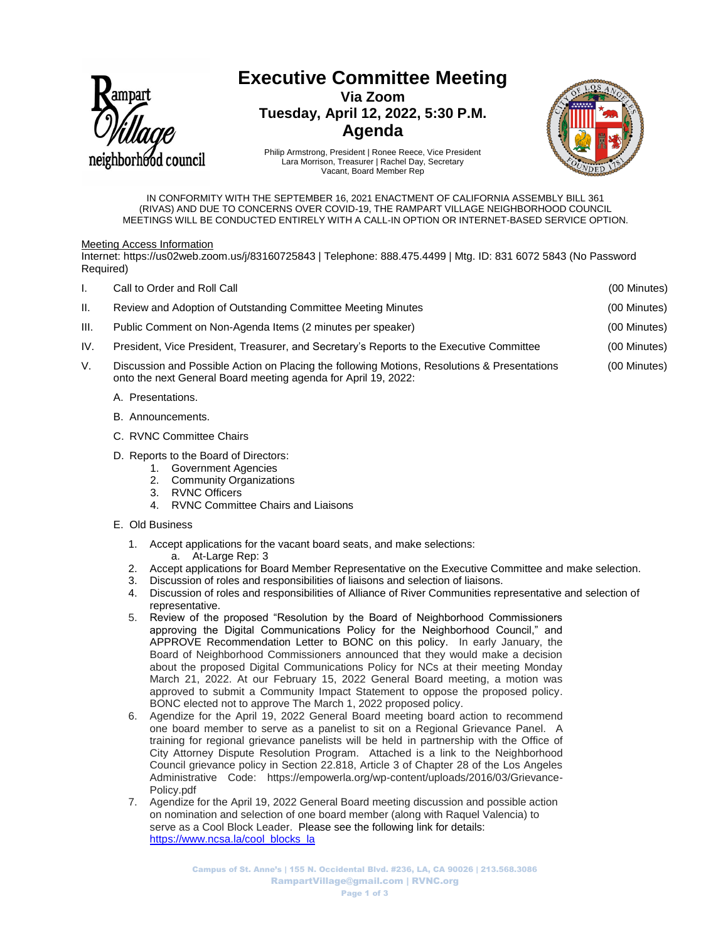

# **Executive Committee Meeting**

**Via Zoom Tuesday, April 12, 2022, 5:30 P.M. Agenda**



Philip Armstrong, President | Ronee Reece, Vice President Lara Morrison, Treasurer | Rachel Day, Secretary Vacant, Board Member Rep

IN CONFORMITY WITH THE SEPTEMBER 16, 2021 ENACTMENT OF CALIFORNIA ASSEMBLY BILL 361 (RIVAS) AND DUE TO CONCERNS OVER COVID-19, THE RAMPART VILLAGE NEIGHBORHOOD COUNCIL MEETINGS WILL BE CONDUCTED ENTIRELY WITH A CALL-IN OPTION OR INTERNET-BASED SERVICE OPTION.

#### Meeting Access Information

Internet: https://us02web.zoom.us/j/83160725843 | Telephone: 888.475.4499 | Mtg. ID: 831 6072 5843 (No Password Required)

| I.   | Call to Order and Roll Call                                                                                                                                    | (00 Minutes) |
|------|----------------------------------------------------------------------------------------------------------------------------------------------------------------|--------------|
| II.  | Review and Adoption of Outstanding Committee Meeting Minutes                                                                                                   | (00 Minutes) |
| III. | Public Comment on Non-Agenda Items (2 minutes per speaker)                                                                                                     | (00 Minutes) |
| IV.  | President, Vice President, Treasurer, and Secretary's Reports to the Executive Committee                                                                       | (00 Minutes) |
| V.   | Discussion and Possible Action on Placing the following Motions, Resolutions & Presentations<br>onto the next General Board meeting agenda for April 19, 2022: | (00 Minutes) |
|      | A. Presentations.                                                                                                                                              |              |

- B. Announcements.
- C. RVNC Committee Chairs
- D. Reports to the Board of Directors:
	- 1. Government Agencies<br>2. Community Organization
	- **Community Organizations**
	- 3. RVNC Officers
	- 4. RVNC Committee Chairs and Liaisons

### E. Old Business

- 1. Accept applications for the vacant board seats, and make selections: a. At-Large Rep: 3
- 2. Accept applications for Board Member Representative on the Executive Committee and make selection.
- 3. Discussion of roles and responsibilities of liaisons and selection of liaisons.
- 4. Discussion of roles and responsibilities of Alliance of River Communities representative and selection of representative.
- 5. Review of the proposed "Resolution by the Board of Neighborhood Commissioners approving the Digital Communications Policy for the Neighborhood Council," and APPROVE Recommendation Letter to BONC on this policy. In early January, the Board of Neighborhood Commissioners announced that they would make a decision about the proposed Digital Communications Policy for NCs at their meeting Monday March 21, 2022. At our February 15, 2022 General Board meeting, a motion was approved to submit a Community Impact Statement to oppose the proposed policy. BONC elected not to approve The March 1, 2022 proposed policy.
- 6. Agendize for the April 19, 2022 General Board meeting board action to recommend one board member to serve as a panelist to sit on a Regional Grievance Panel. A training for regional grievance panelists will be held in partnership with the Office of City Attorney Dispute Resolution Program. Attached is a link to the Neighborhood Council grievance policy in Section 22.818, Article 3 of Chapter 28 of the Los Angeles Administrative Code: https://empowerla.org/wp-content/uploads/2016/03/Grievance-Policy.pdf
- 7. Agendize for the April 19, 2022 General Board meeting discussion and possible action on nomination and selection of one board member (along with Raquel Valencia) to serve as a Cool Block Leader. Please see the following link for details: [https://www.ncsa.la/cool\\_blocks\\_la](https://www.ncsa.la/cool_blocks_la)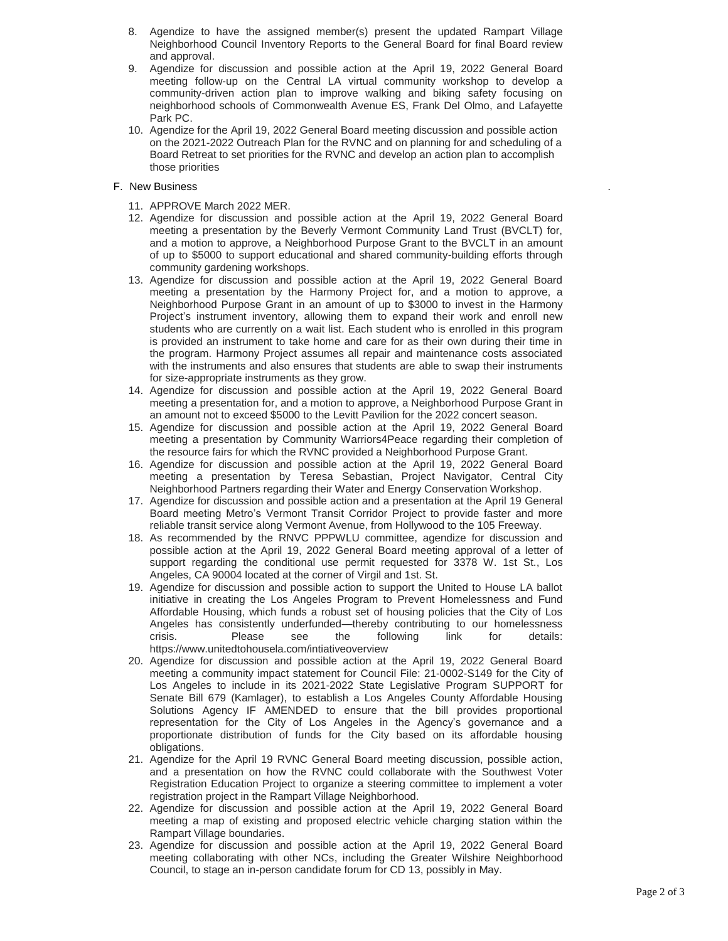- 8. Agendize to have the assigned member(s) present the updated Rampart Village Neighborhood Council Inventory Reports to the General Board for final Board review and approval.
- 9. Agendize for discussion and possible action at the April 19, 2022 General Board meeting follow-up on the Central LA virtual community workshop to develop a community-driven action plan to improve walking and biking safety focusing on neighborhood schools of Commonwealth Avenue ES, Frank Del Olmo, and Lafayette Park PC.
- 10. Agendize for the April 19, 2022 General Board meeting discussion and possible action on the 2021-2022 Outreach Plan for the RVNC and on planning for and scheduling of a Board Retreat to set priorities for the RVNC and develop an action plan to accomplish those priorities

## F. New Business

- 11. APPROVE March 2022 MER.
- 12. Agendize for discussion and possible action at the April 19, 2022 General Board meeting a presentation by the Beverly Vermont Community Land Trust (BVCLT) for, and a motion to approve, a Neighborhood Purpose Grant to the BVCLT in an amount of up to \$5000 to support educational and shared community-building efforts through community gardening workshops.
- 13. Agendize for discussion and possible action at the April 19, 2022 General Board meeting a presentation by the Harmony Project for, and a motion to approve, a Neighborhood Purpose Grant in an amount of up to \$3000 to invest in the Harmony Project's instrument inventory, allowing them to expand their work and enroll new students who are currently on a wait list. Each student who is enrolled in this program is provided an instrument to take home and care for as their own during their time in the program. Harmony Project assumes all repair and maintenance costs associated with the instruments and also ensures that students are able to swap their instruments for size-appropriate instruments as they grow.
- 14. Agendize for discussion and possible action at the April 19, 2022 General Board meeting a presentation for, and a motion to approve, a Neighborhood Purpose Grant in an amount not to exceed \$5000 to the Levitt Pavilion for the 2022 concert season.
- 15. Agendize for discussion and possible action at the April 19, 2022 General Board meeting a presentation by Community Warriors4Peace regarding their completion of the resource fairs for which the RVNC provided a Neighborhood Purpose Grant.
- 16. Agendize for discussion and possible action at the April 19, 2022 General Board meeting a presentation by Teresa Sebastian, Project Navigator, Central City Neighborhood Partners regarding their Water and Energy Conservation Workshop.
- 17. Agendize for discussion and possible action and a presentation at the April 19 General Board meeting Metro's Vermont Transit Corridor Project to provide faster and more reliable transit service along Vermont Avenue, from Hollywood to the 105 Freeway.
- 18. As recommended by the RNVC PPPWLU committee, agendize for discussion and possible action at the April 19, 2022 General Board meeting approval of a letter of support regarding the conditional use permit requested for 3378 W. 1st St., Los Angeles, CA 90004 located at the corner of Virgil and 1st. St.
- 19. Agendize for discussion and possible action to support the United to House LA ballot initiative in creating the Los Angeles Program to Prevent Homelessness and Fund Affordable Housing, which funds a robust set of housing policies that the City of Los Angeles has consistently underfunded—thereby contributing to our homelessness crisis. Please see the following link for details: https://www.unitedtohousela.com/intiativeoverview
- 20. Agendize for discussion and possible action at the April 19, 2022 General Board meeting a community impact statement for Council File: 21-0002-S149 for the City of Los Angeles to include in its 2021-2022 State Legislative Program SUPPORT for Senate Bill 679 (Kamlager), to establish a Los Angeles County Affordable Housing Solutions Agency IF AMENDED to ensure that the bill provides proportional representation for the City of Los Angeles in the Agency's governance and a proportionate distribution of funds for the City based on its affordable housing obligations.
- 21. Agendize for the April 19 RVNC General Board meeting discussion, possible action, and a presentation on how the RVNC could collaborate with the Southwest Voter Registration Education Project to organize a steering committee to implement a voter registration project in the Rampart Village Neighborhood.
- 22. Agendize for discussion and possible action at the April 19, 2022 General Board meeting a map of existing and proposed electric vehicle charging station within the Rampart Village boundaries.
- 23. Agendize for discussion and possible action at the April 19, 2022 General Board meeting collaborating with other NCs, including the Greater Wilshire Neighborhood Council, to stage an in-person candidate forum for CD 13, possibly in May.